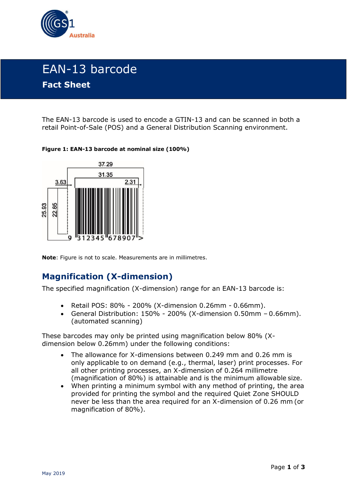

# EAN-13 barcode **Fact Sheet**

The EAN-13 barcode is used to encode a GTIN-13 and can be scanned in both a retail Point-of-Sale (POS) and a General Distribution Scanning environment.

#### **Figure 1: EAN-13 barcode at nominal size (100%)**



**Note**: Figure is not to scale. Measurements are in millimetres.

### **Magnification (X-dimension)**

The specified magnification (X-dimension) range for an EAN-13 barcode is:

- Retail POS: 80% 200% (X-dimension 0.26mm 0.66mm).
- General Distribution: 150% 200% (X-dimension 0.50mm 0.66mm). (automated scanning)

These barcodes may only be printed using magnification below 80% (Xdimension below 0.26mm) under the following conditions:

- The allowance for X-dimensions between 0.249 mm and 0.26 mm is only applicable to on demand (e.g., thermal, laser) print processes. For all other printing processes, an X-dimension of 0.264 millimetre (magnification of 80%) is attainable and is the minimum allowable size.
- When printing a minimum symbol with any method of printing, the area provided for printing the symbol and the required Quiet Zone SHOULD never be less than the area required for an X-dimension of 0.26 mm (or magnification of 80%).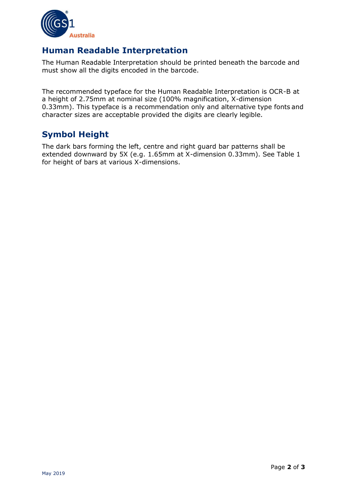

### **Human Readable Interpretation**

The Human Readable Interpretation should be printed beneath the barcode and must show all the digits encoded in the barcode.

The recommended typeface for the Human Readable Interpretation is OCR-B at a height of 2.75mm at nominal size (100% magnification, X-dimension 0.33mm). This typeface is a recommendation only and alternative type fonts and character sizes are acceptable provided the digits are clearly legible.

## **Symbol Height**

The dark bars forming the left, centre and right guard bar patterns shall be extended downward by 5X (e.g. 1.65mm at X-dimension 0.33mm). See Table 1 for height of bars at various X-dimensions.